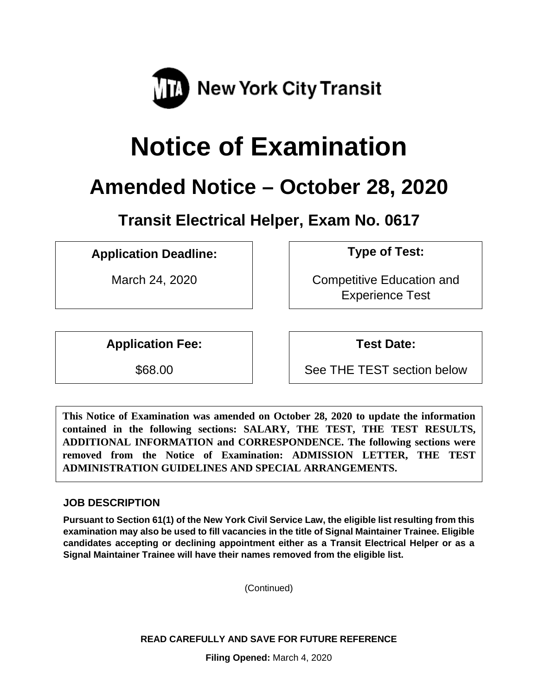

# **Notice of Examination**

# **Amended Notice – October 28, 2020**

**Transit Electrical Helper, Exam No. 0617**

**Application Deadline: Type of Test:** 

March 24, 2020 **Competitive Education and** Experience Test

**Application Fee: Test Date:**

\$68.00 See THE TEST section below

**This Notice of Examination was amended on October 28, 2020 to update the information contained in the following sections: SALARY, THE TEST, THE TEST RESULTS, ADDITIONAL INFORMATION and CORRESPONDENCE. The following sections were removed from the Notice of Examination: ADMISSION LETTER, THE TEST ADMINISTRATION GUIDELINES AND SPECIAL ARRANGEMENTS.** 

# **JOB DESCRIPTION**

**Pursuant to Section 61(1) of the New York Civil Service Law, the eligible list resulting from this examination may also be used to fill vacancies in the title of Signal Maintainer Trainee. Eligible candidates accepting or declining appointment either as a Transit Electrical Helper or as a Signal Maintainer Trainee will have their names removed from the eligible list.**

(Continued)

**READ CAREFULLY AND SAVE FOR FUTURE REFERENCE**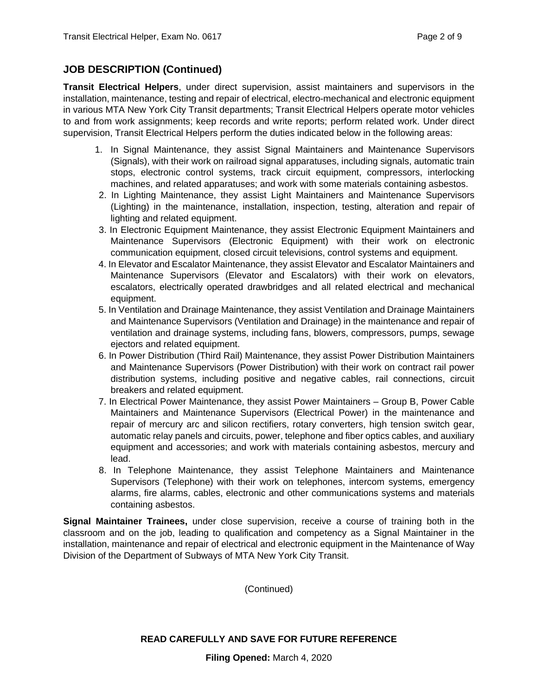# **JOB DESCRIPTION (Continued)**

**Transit Electrical Helpers**, under direct supervision, assist maintainers and supervisors in the installation, maintenance, testing and repair of electrical, electro-mechanical and electronic equipment in various MTA New York City Transit departments; Transit Electrical Helpers operate motor vehicles to and from work assignments; keep records and write reports; perform related work. Under direct supervision, Transit Electrical Helpers perform the duties indicated below in the following areas:

- 1. In Signal Maintenance, they assist Signal Maintainers and Maintenance Supervisors (Signals), with their work on railroad signal apparatuses, including signals, automatic train stops, electronic control systems, track circuit equipment, compressors, interlocking machines, and related apparatuses; and work with some materials containing asbestos.
- 2. In Lighting Maintenance, they assist Light Maintainers and Maintenance Supervisors (Lighting) in the maintenance, installation, inspection, testing, alteration and repair of lighting and related equipment.
- 3. In Electronic Equipment Maintenance, they assist Electronic Equipment Maintainers and Maintenance Supervisors (Electronic Equipment) with their work on electronic communication equipment, closed circuit televisions, control systems and equipment.
- 4. In Elevator and Escalator Maintenance, they assist Elevator and Escalator Maintainers and Maintenance Supervisors (Elevator and Escalators) with their work on elevators, escalators, electrically operated drawbridges and all related electrical and mechanical equipment.
- 5. In Ventilation and Drainage Maintenance, they assist Ventilation and Drainage Maintainers and Maintenance Supervisors (Ventilation and Drainage) in the maintenance and repair of ventilation and drainage systems, including fans, blowers, compressors, pumps, sewage ejectors and related equipment.
- 6. In Power Distribution (Third Rail) Maintenance, they assist Power Distribution Maintainers and Maintenance Supervisors (Power Distribution) with their work on contract rail power distribution systems, including positive and negative cables, rail connections, circuit breakers and related equipment.
- 7. In Electrical Power Maintenance, they assist Power Maintainers Group B, Power Cable Maintainers and Maintenance Supervisors (Electrical Power) in the maintenance and repair of mercury arc and silicon rectifiers, rotary converters, high tension switch gear, automatic relay panels and circuits, power, telephone and fiber optics cables, and auxiliary equipment and accessories; and work with materials containing asbestos, mercury and lead.
- 8. In Telephone Maintenance, they assist Telephone Maintainers and Maintenance Supervisors (Telephone) with their work on telephones, intercom systems, emergency alarms, fire alarms, cables, electronic and other communications systems and materials containing asbestos.

**Signal Maintainer Trainees,** under close supervision, receive a course of training both in the classroom and on the job, leading to qualification and competency as a Signal Maintainer in the installation, maintenance and repair of electrical and electronic equipment in the Maintenance of Way Division of the Department of Subways of MTA New York City Transit.

(Continued)

#### **READ CAREFULLY AND SAVE FOR FUTURE REFERENCE**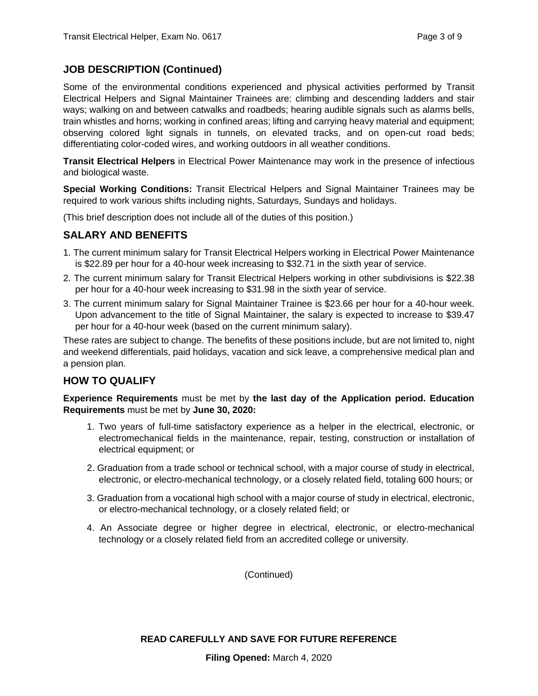#### **JOB DESCRIPTION (Continued)**

Some of the environmental conditions experienced and physical activities performed by Transit Electrical Helpers and Signal Maintainer Trainees are: climbing and descending ladders and stair ways; walking on and between catwalks and roadbeds; hearing audible signals such as alarms bells, train whistles and horns; working in confined areas; lifting and carrying heavy material and equipment; observing colored light signals in tunnels, on elevated tracks, and on open-cut road beds; differentiating color-coded wires, and working outdoors in all weather conditions.

**Transit Electrical Helpers** in Electrical Power Maintenance may work in the presence of infectious and biological waste.

**Special Working Conditions:** Transit Electrical Helpers and Signal Maintainer Trainees may be required to work various shifts including nights, Saturdays, Sundays and holidays.

(This brief description does not include all of the duties of this position.)

# **SALARY AND BENEFITS**

- 1. The current minimum salary for Transit Electrical Helpers working in Electrical Power Maintenance is \$22.89 per hour for a 40-hour week increasing to \$32.71 in the sixth year of service.
- 2. The current minimum salary for Transit Electrical Helpers working in other subdivisions is \$22.38 per hour for a 40-hour week increasing to \$31.98 in the sixth year of service.
- 3. The current minimum salary for Signal Maintainer Trainee is \$23.66 per hour for a 40-hour week. Upon advancement to the title of Signal Maintainer, the salary is expected to increase to \$39.47 per hour for a 40-hour week (based on the current minimum salary).

These rates are subject to change. The benefits of these positions include, but are not limited to, night and weekend differentials, paid holidays, vacation and sick leave, a comprehensive medical plan and a pension plan.

#### **HOW TO QUALIFY**

**Experience Requirements** must be met by **the last day of the Application period. Education Requirements** must be met by **June 30, 2020:** 

- 1. Two years of full-time satisfactory experience as a helper in the electrical, electronic, or electromechanical fields in the maintenance, repair, testing, construction or installation of electrical equipment; or
- 2. Graduation from a trade school or technical school, with a major course of study in electrical, electronic, or electro-mechanical technology, or a closely related field, totaling 600 hours; or
- 3. Graduation from a vocational high school with a major course of study in electrical, electronic, or electro-mechanical technology, or a closely related field; or
- 4. An Associate degree or higher degree in electrical, electronic, or electro-mechanical technology or a closely related field from an accredited college or university.

(Continued)

#### **READ CAREFULLY AND SAVE FOR FUTURE REFERENCE**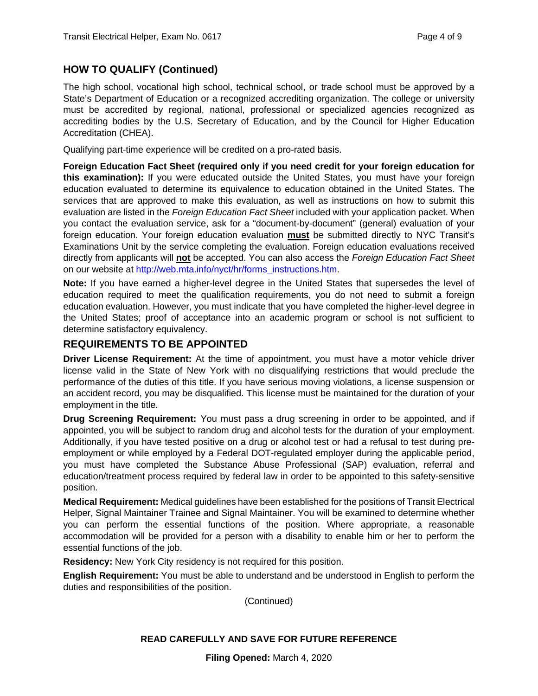# **HOW TO QUALIFY (Continued)**

The high school, vocational high school, technical school, or trade school must be approved by a State's Department of Education or a recognized accrediting organization. The college or university must be accredited by regional, national, professional or specialized agencies recognized as accrediting bodies by the U.S. Secretary of Education, and by the Council for Higher Education Accreditation (CHEA).

Qualifying part-time experience will be credited on a pro-rated basis.

**Foreign Education Fact Sheet (required only if you need credit for your foreign education for this examination):** If you were educated outside the United States, you must have your foreign education evaluated to determine its equivalence to education obtained in the United States. The services that are approved to make this evaluation, as well as instructions on how to submit this evaluation are listed in the *Foreign Education Fact Sheet* included with your application packet. When you contact the evaluation service, ask for a "document-by-document" (general) evaluation of your foreign education. Your foreign education evaluation **must** be submitted directly to NYC Transit's Examinations Unit by the service completing the evaluation. Foreign education evaluations received directly from applicants will **not** be accepted. You can also access the *Foreign Education Fact Sheet*  on our website at [http://web.mta.info/nyct/hr/forms\\_instructions.htm.](http://web.mta.info/nyct/hr/forms_instructions.htm)

**Note:** If you have earned a higher-level degree in the United States that supersedes the level of education required to meet the qualification requirements, you do not need to submit a foreign education evaluation. However, you must indicate that you have completed the higher-level degree in the United States; proof of acceptance into an academic program or school is not sufficient to determine satisfactory equivalency.

# **REQUIREMENTS TO BE APPOINTED**

**Driver License Requirement:** At the time of appointment, you must have a motor vehicle driver license valid in the State of New York with no disqualifying restrictions that would preclude the performance of the duties of this title. If you have serious moving violations, a license suspension or an accident record, you may be disqualified. This license must be maintained for the duration of your employment in the title.

**Drug Screening Requirement:** You must pass a drug screening in order to be appointed, and if appointed, you will be subject to random drug and alcohol tests for the duration of your employment. Additionally, if you have tested positive on a drug or alcohol test or had a refusal to test during preemployment or while employed by a Federal DOT-regulated employer during the applicable period, you must have completed the Substance Abuse Professional (SAP) evaluation, referral and education/treatment process required by federal law in order to be appointed to this safety-sensitive position.

**Medical Requirement:** Medical guidelines have been established for the positions of Transit Electrical Helper, Signal Maintainer Trainee and Signal Maintainer. You will be examined to determine whether you can perform the essential functions of the position. Where appropriate, a reasonable accommodation will be provided for a person with a disability to enable him or her to perform the essential functions of the job.

**Residency:** New York City residency is not required for this position.

**English Requirement:** You must be able to understand and be understood in English to perform the duties and responsibilities of the position.

(Continued)

#### **READ CAREFULLY AND SAVE FOR FUTURE REFERENCE**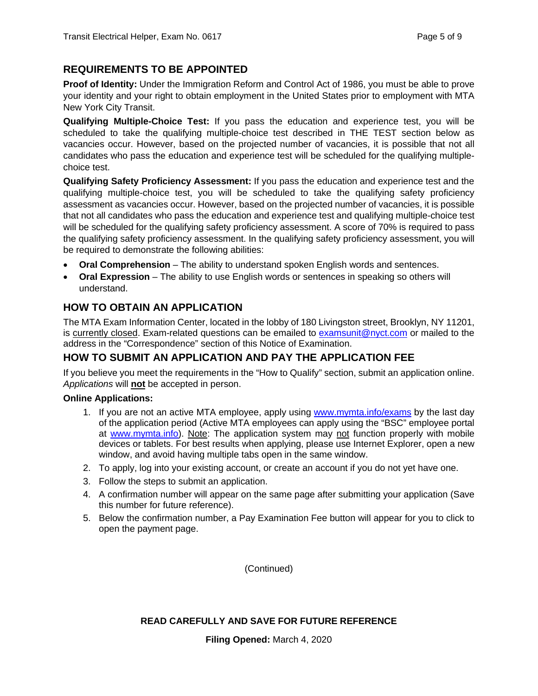# **REQUIREMENTS TO BE APPOINTED**

**Proof of Identity:** Under the Immigration Reform and Control Act of 1986, you must be able to prove your identity and your right to obtain employment in the United States prior to employment with MTA New York City Transit.

**Qualifying Multiple-Choice Test:** If you pass the education and experience test, you will be scheduled to take the qualifying multiple-choice test described in THE TEST section below as vacancies occur. However, based on the projected number of vacancies, it is possible that not all candidates who pass the education and experience test will be scheduled for the qualifying multiplechoice test.

**Qualifying Safety Proficiency Assessment:** If you pass the education and experience test and the qualifying multiple-choice test, you will be scheduled to take the qualifying safety proficiency assessment as vacancies occur. However, based on the projected number of vacancies, it is possible that not all candidates who pass the education and experience test and qualifying multiple-choice test will be scheduled for the qualifying safety proficiency assessment. A score of 70% is required to pass the qualifying safety proficiency assessment. In the qualifying safety proficiency assessment, you will be required to demonstrate the following abilities:

- **Oral Comprehension** The ability to understand spoken English words and sentences.
- **Oral Expression** The ability to use English words or sentences in speaking so others will understand.

# **HOW TO OBTAIN AN APPLICATION**

The MTA Exam Information Center, located in the lobby of 180 Livingston street, Brooklyn, NY 11201, is currently closed. Exam-related questions can be emailed to [examsunit@nyct.com](mailto:examsunit@nyct.com) or mailed to the address in the "Correspondence" section of this Notice of Examination.

# **HOW TO SUBMIT AN APPLICATION AND PAY THE APPLICATION FEE**

If you believe you meet the requirements in the "How to Qualify" section, submit an application online. *Applications* will **not** be accepted in person.

#### **Online Applications:**

- 1. If you are not an active MTA employee, apply using [www.mymta.info/exams](http://www.mymta.info/exams) by the last day of the application period (Active MTA employees can apply using the "BSC" employee portal at [www.mymta.info\)](http://www.mymta.info/). Note: The application system may not function properly with mobile devices or tablets. For best results when applying, please use Internet Explorer, open a new window, and avoid having multiple tabs open in the same window.
- 2. To apply, log into your existing account, or create an account if you do not yet have one.
- 3. Follow the steps to submit an application.
- 4. A confirmation number will appear on the same page after submitting your application (Save this number for future reference).
- 5. Below the confirmation number, a Pay Examination Fee button will appear for you to click to open the payment page.

(Continued)

#### **READ CAREFULLY AND SAVE FOR FUTURE REFERENCE**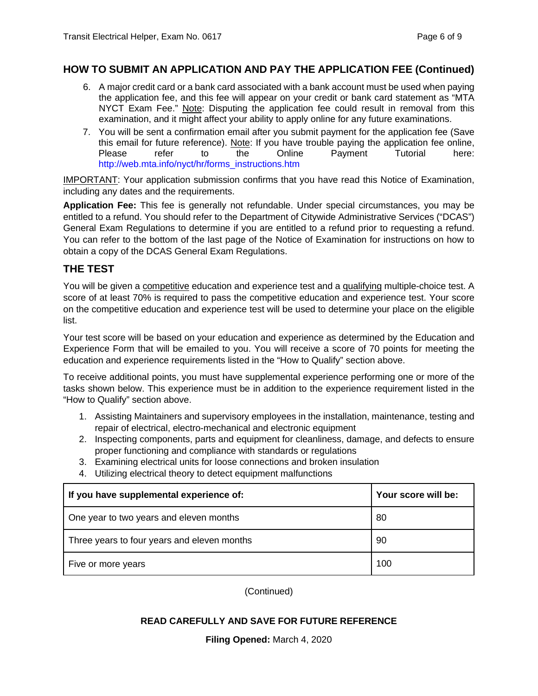# **HOW TO SUBMIT AN APPLICATION AND PAY THE APPLICATION FEE (Continued)**

- 6. A major credit card or a bank card associated with a bank account must be used when paying the application fee, and this fee will appear on your credit or bank card statement as "MTA NYCT Exam Fee." Note: Disputing the application fee could result in removal from this examination, and it might affect your ability to apply online for any future examinations.
- 7. You will be sent a confirmation email after you submit payment for the application fee (Save this email for future reference). Note: If you have trouble paying the application fee online, Please refer to the Online Payment Tutorial here: [http://web.mta.info/nyct/hr/forms\\_instructions.htm](http://web.mta.info/nyct/hr/forms_instructions.htm)

IMPORTANT: Your application submission confirms that you have read this Notice of Examination, including any dates and the requirements.

**Application Fee:** This fee is generally not refundable. Under special circumstances, you may be entitled to a refund. You should refer to the Department of Citywide Administrative Services ("DCAS") General Exam Regulations to determine if you are entitled to a refund prior to requesting a refund. You can refer to the bottom of the last page of the Notice of Examination for instructions on how to obtain a copy of the DCAS General Exam Regulations.

# **THE TEST**

You will be given a competitive education and experience test and a qualifying multiple-choice test. A score of at least 70% is required to pass the competitive education and experience test. Your score on the competitive education and experience test will be used to determine your place on the eligible list.

Your test score will be based on your education and experience as determined by the Education and Experience Form that will be emailed to you. You will receive a score of 70 points for meeting the education and experience requirements listed in the "How to Qualify" section above.

To receive additional points, you must have supplemental experience performing one or more of the tasks shown below. This experience must be in addition to the experience requirement listed in the "How to Qualify" section above.

- 1. Assisting Maintainers and supervisory employees in the installation, maintenance, testing and repair of electrical, electro-mechanical and electronic equipment
- 2. Inspecting components, parts and equipment for cleanliness, damage, and defects to ensure proper functioning and compliance with standards or regulations
- 3. Examining electrical units for loose connections and broken insulation
- 4. Utilizing electrical theory to detect equipment malfunctions

| If you have supplemental experience of:     | Your score will be: |
|---------------------------------------------|---------------------|
| One year to two years and eleven months     | 80                  |
| Three years to four years and eleven months | 90                  |
| Five or more years                          | 100                 |

(Continued)

# **READ CAREFULLY AND SAVE FOR FUTURE REFERENCE**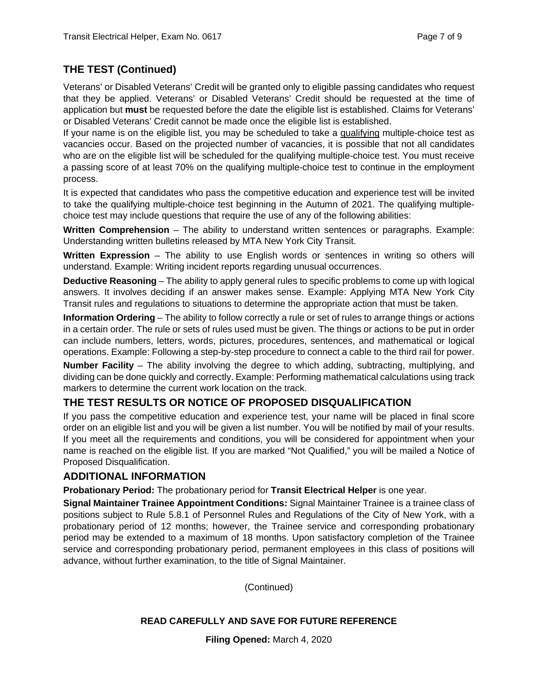# **THE TEST (Continued)**

Veterans' or Disabled Veterans' Credit will be granted only to eligible passing candidates who request that they be applied. Veterans' or Disabled Veterans' Credit should be requested at the time of application but **must** be requested before the date the eligible list is established. Claims for Veterans' or Disabled Veterans' Credit cannot be made once the eligible list is established.

If your name is on the eligible list, you may be scheduled to take a qualifying multiple-choice test as vacancies occur. Based on the projected number of vacancies, it is possible that not all candidates who are on the eligible list will be scheduled for the qualifying multiple-choice test. You must receive a passing score of at least 70% on the qualifying multiple-choice test to continue in the employment process.

It is expected that candidates who pass the competitive education and experience test will be invited to take the qualifying multiple-choice test beginning in the Autumn of 2021. The qualifying multiplechoice test may include questions that require the use of any of the following abilities:

**Written Comprehension** – The ability to understand written sentences or paragraphs. Example: Understanding written bulletins released by MTA New York City Transit.

**Written Expression** – The ability to use English words or sentences in writing so others will understand. Example: Writing incident reports regarding unusual occurrences.

**Deductive Reasoning** – The ability to apply general rules to specific problems to come up with logical answers. It involves deciding if an answer makes sense. Example: Applying MTA New York City Transit rules and regulations to situations to determine the appropriate action that must be taken.

**Information Ordering** – The ability to follow correctly a rule or set of rules to arrange things or actions in a certain order. The rule or sets of rules used must be given. The things or actions to be put in order can include numbers, letters, words, pictures, procedures, sentences, and mathematical or logical operations. Example: Following a step-by-step procedure to connect a cable to the third rail for power.

**Number Facility** – The ability involving the degree to which adding, subtracting, multiplying, and dividing can be done quickly and correctly. Example: Performing mathematical calculations using track markers to determine the current work location on the track.

# **THE TEST RESULTS OR NOTICE OF PROPOSED DISQUALIFICATION**

If you pass the competitive education and experience test, your name will be placed in final score order on an eligible list and you will be given a list number. You will be notified by mail of your results. If you meet all the requirements and conditions, you will be considered for appointment when your name is reached on the eligible list. If you are marked "Not Qualified," you will be mailed a Notice of Proposed Disqualification.

# **ADDITIONAL INFORMATION**

**Probationary Period:** The probationary period for **Transit Electrical Helper** is one year.

**Signal Maintainer Trainee Appointment Conditions:** Signal Maintainer Trainee is a trainee class of positions subject to Rule 5.8.1 of Personnel Rules and Regulations of the City of New York, with a probationary period of 12 months; however, the Trainee service and corresponding probationary period may be extended to a maximum of 18 months. Upon satisfactory completion of the Trainee service and corresponding probationary period, permanent employees in this class of positions will advance, without further examination, to the title of Signal Maintainer.

(Continued)

# **READ CAREFULLY AND SAVE FOR FUTURE REFERENCE**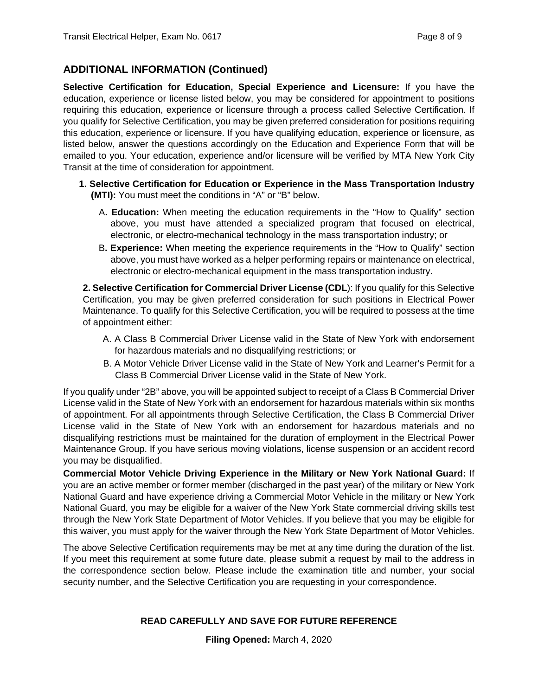# **ADDITIONAL INFORMATION (Continued)**

**Selective Certification for Education, Special Experience and Licensure:** If you have the education, experience or license listed below, you may be considered for appointment to positions requiring this education, experience or licensure through a process called Selective Certification. If you qualify for Selective Certification, you may be given preferred consideration for positions requiring this education, experience or licensure. If you have qualifying education, experience or licensure, as listed below, answer the questions accordingly on the Education and Experience Form that will be emailed to you. Your education, experience and/or licensure will be verified by MTA New York City Transit at the time of consideration for appointment.

- **1. Selective Certification for Education or Experience in the Mass Transportation Industry (MTI):** You must meet the conditions in "A" or "B" below.
	- A**. Education:** When meeting the education requirements in the "How to Qualify" section above, you must have attended a specialized program that focused on electrical, electronic, or electro-mechanical technology in the mass transportation industry; or
	- B**. Experience:** When meeting the experience requirements in the "How to Qualify" section above, you must have worked as a helper performing repairs or maintenance on electrical, electronic or electro-mechanical equipment in the mass transportation industry.

**2. Selective Certification for Commercial Driver License (CDL**): If you qualify for this Selective Certification, you may be given preferred consideration for such positions in Electrical Power Maintenance. To qualify for this Selective Certification, you will be required to possess at the time of appointment either:

- A. A Class B Commercial Driver License valid in the State of New York with endorsement for hazardous materials and no disqualifying restrictions; or
- B. A Motor Vehicle Driver License valid in the State of New York and Learner's Permit for a Class B Commercial Driver License valid in the State of New York.

If you qualify under "2B" above, you will be appointed subject to receipt of a Class B Commercial Driver License valid in the State of New York with an endorsement for hazardous materials within six months of appointment. For all appointments through Selective Certification, the Class B Commercial Driver License valid in the State of New York with an endorsement for hazardous materials and no disqualifying restrictions must be maintained for the duration of employment in the Electrical Power Maintenance Group. If you have serious moving violations, license suspension or an accident record you may be disqualified.

**Commercial Motor Vehicle Driving Experience in the Military or New York National Guard:** If you are an active member or former member (discharged in the past year) of the military or New York National Guard and have experience driving a Commercial Motor Vehicle in the military or New York National Guard, you may be eligible for a waiver of the New York State commercial driving skills test through the New York State Department of Motor Vehicles. If you believe that you may be eligible for this waiver, you must apply for the waiver through the New York State Department of Motor Vehicles.

The above Selective Certification requirements may be met at any time during the duration of the list. If you meet this requirement at some future date, please submit a request by mail to the address in the correspondence section below. Please include the examination title and number, your social security number, and the Selective Certification you are requesting in your correspondence.

# **READ CAREFULLY AND SAVE FOR FUTURE REFERENCE**